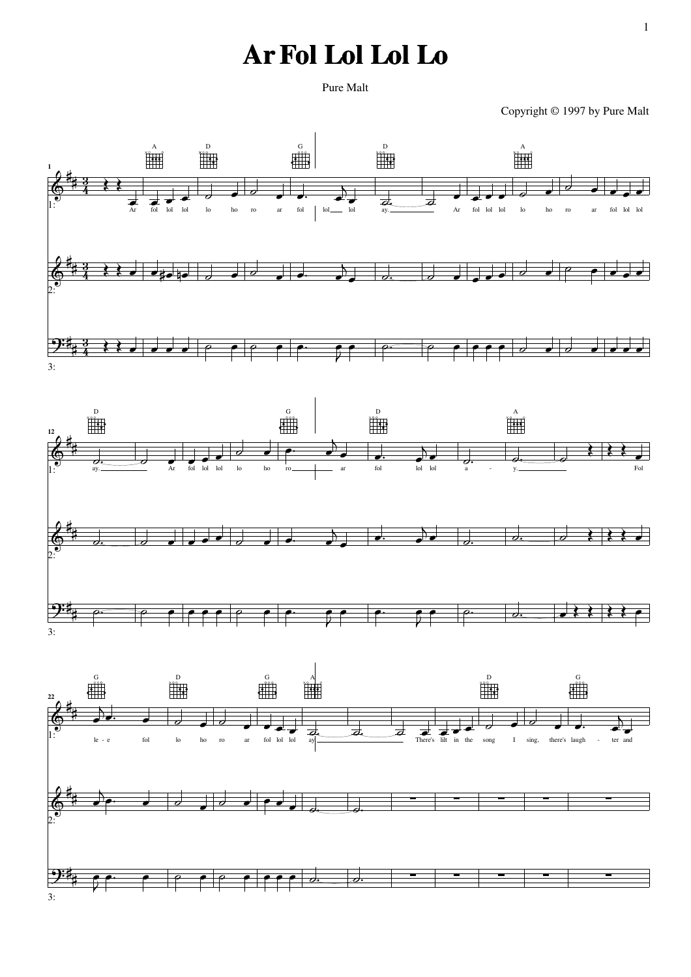## **Ar Fol Lol Lol Lo**

Copyright © 1997 by Pure Malt



1

Pure Malt